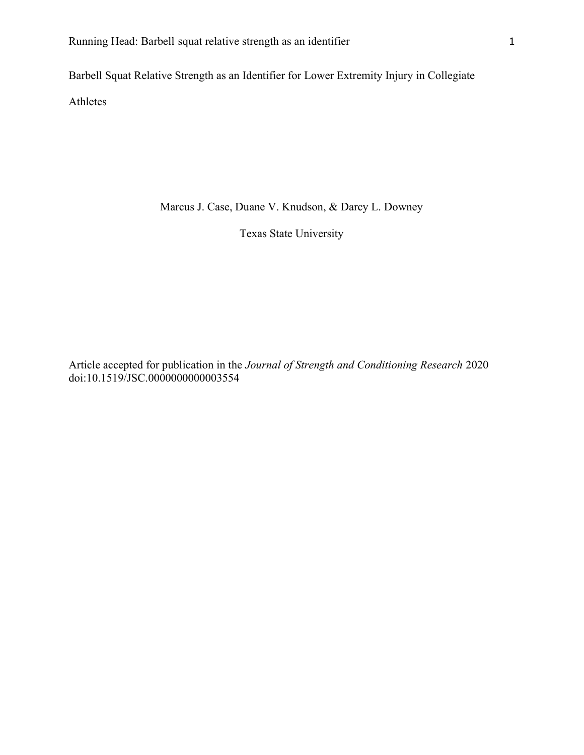Barbell Squat Relative Strength as an Identifier for Lower Extremity Injury in Collegiate Athletes

Marcus J. Case, Duane V. Knudson, & Darcy L. Downey

Texas State University

Article accepted for publication in the Journal of Strength and Conditioning Research 2020 doi:10.1519/JSC.0000000000003554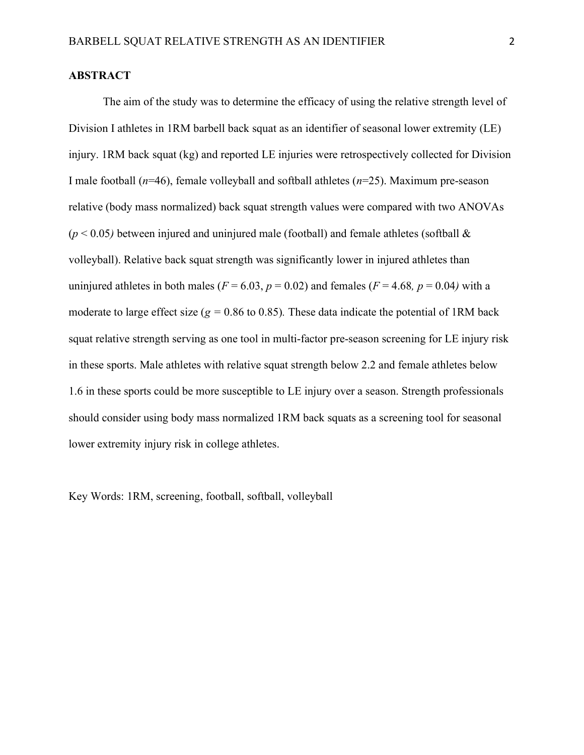## **ABSTRACT**

 The aim of the study was to determine the efficacy of using the relative strength level of Division I athletes in 1RM barbell back squat as an identifier of seasonal lower extremity (LE) injury. 1RM back squat (kg) and reported LE injuries were retrospectively collected for Division I male football  $(n=46)$ , female volleyball and softball athletes  $(n=25)$ . Maximum pre-season relative (body mass normalized) back squat strength values were compared with two ANOVAs  $(p < 0.05)$  between injured and uninjured male (football) and female athletes (softball & volleyball). Relative back squat strength was significantly lower in injured athletes than uninjured athletes in both males ( $F = 6.03$ ,  $p = 0.02$ ) and females ( $F = 4.68$ ,  $p = 0.04$ ) with a moderate to large effect size ( $g = 0.86$  to 0.85). These data indicate the potential of 1RM back squat relative strength serving as one tool in multi-factor pre-season screening for LE injury risk in these sports. Male athletes with relative squat strength below 2.2 and female athletes below 1.6 in these sports could be more susceptible to LE injury over a season. Strength professionals should consider using body mass normalized 1RM back squats as a screening tool for seasonal lower extremity injury risk in college athletes.

Key Words: 1RM, screening, football, softball, volleyball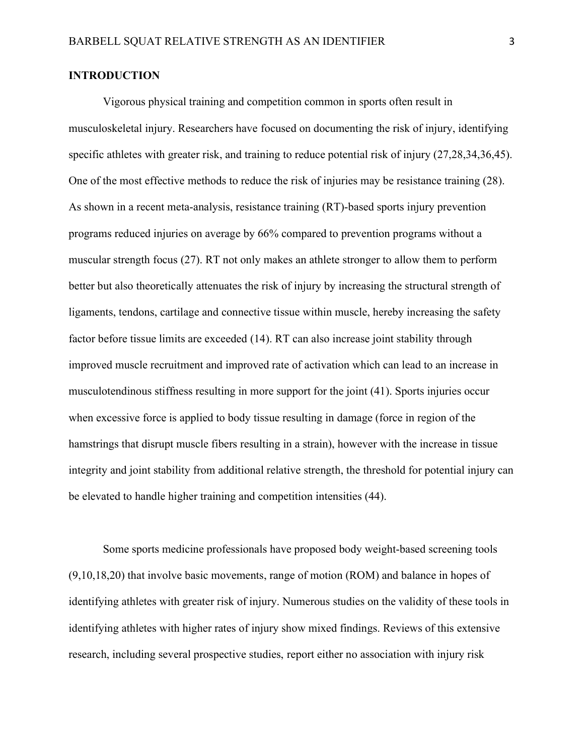# INTRODUCTION

Vigorous physical training and competition common in sports often result in musculoskeletal injury. Researchers have focused on documenting the risk of injury, identifying specific athletes with greater risk, and training to reduce potential risk of injury (27,28,34,36,45). One of the most effective methods to reduce the risk of injuries may be resistance training (28). As shown in a recent meta-analysis, resistance training (RT)-based sports injury prevention programs reduced injuries on average by 66% compared to prevention programs without a muscular strength focus (27). RT not only makes an athlete stronger to allow them to perform better but also theoretically attenuates the risk of injury by increasing the structural strength of ligaments, tendons, cartilage and connective tissue within muscle, hereby increasing the safety factor before tissue limits are exceeded (14). RT can also increase joint stability through improved muscle recruitment and improved rate of activation which can lead to an increase in musculotendinous stiffness resulting in more support for the joint (41). Sports injuries occur when excessive force is applied to body tissue resulting in damage (force in region of the hamstrings that disrupt muscle fibers resulting in a strain), however with the increase in tissue integrity and joint stability from additional relative strength, the threshold for potential injury can be elevated to handle higher training and competition intensities (44).

Some sports medicine professionals have proposed body weight-based screening tools (9,10,18,20) that involve basic movements, range of motion (ROM) and balance in hopes of identifying athletes with greater risk of injury. Numerous studies on the validity of these tools in identifying athletes with higher rates of injury show mixed findings. Reviews of this extensive research, including several prospective studies, report either no association with injury risk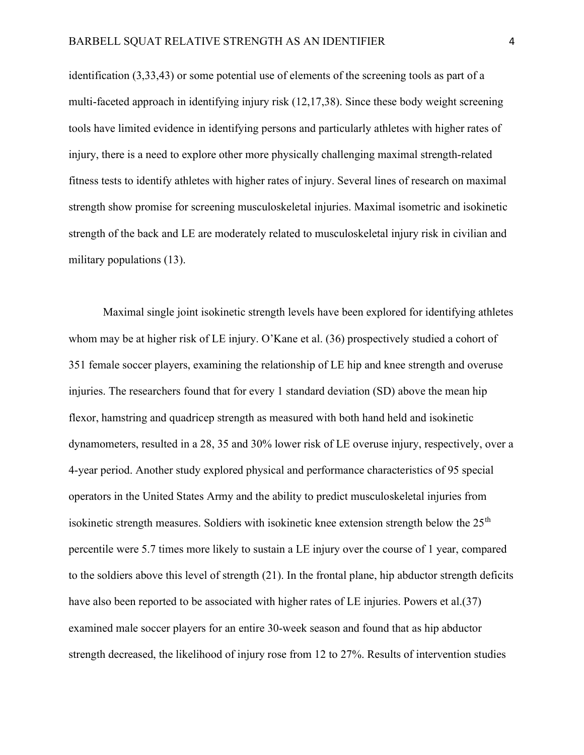identification (3,33,43) or some potential use of elements of the screening tools as part of a multi-faceted approach in identifying injury risk (12,17,38). Since these body weight screening tools have limited evidence in identifying persons and particularly athletes with higher rates of injury, there is a need to explore other more physically challenging maximal strength-related fitness tests to identify athletes with higher rates of injury. Several lines of research on maximal strength show promise for screening musculoskeletal injuries. Maximal isometric and isokinetic strength of the back and LE are moderately related to musculoskeletal injury risk in civilian and military populations (13).

Maximal single joint isokinetic strength levels have been explored for identifying athletes whom may be at higher risk of LE injury. O'Kane et al. (36) prospectively studied a cohort of 351 female soccer players, examining the relationship of LE hip and knee strength and overuse injuries. The researchers found that for every 1 standard deviation (SD) above the mean hip flexor, hamstring and quadricep strength as measured with both hand held and isokinetic dynamometers, resulted in a 28, 35 and 30% lower risk of LE overuse injury, respectively, over a 4-year period. Another study explored physical and performance characteristics of 95 special operators in the United States Army and the ability to predict musculoskeletal injuries from isokinetic strength measures. Soldiers with isokinetic knee extension strength below the 25<sup>th</sup> percentile were 5.7 times more likely to sustain a LE injury over the course of 1 year, compared to the soldiers above this level of strength (21). In the frontal plane, hip abductor strength deficits have also been reported to be associated with higher rates of LE injuries. Powers et al. (37) examined male soccer players for an entire 30-week season and found that as hip abductor strength decreased, the likelihood of injury rose from 12 to 27%. Results of intervention studies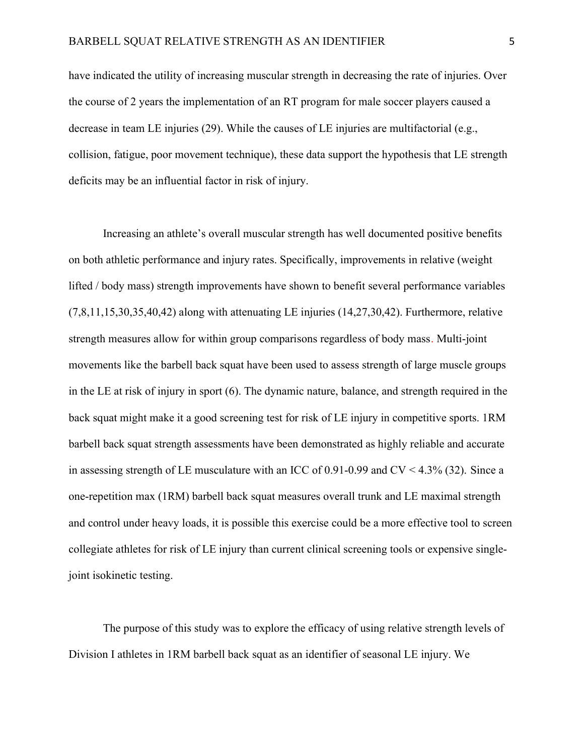have indicated the utility of increasing muscular strength in decreasing the rate of injuries. Over the course of 2 years the implementation of an RT program for male soccer players caused a decrease in team LE injuries (29). While the causes of LE injuries are multifactorial (e.g., collision, fatigue, poor movement technique), these data support the hypothesis that LE strength deficits may be an influential factor in risk of injury.

Increasing an athlete's overall muscular strength has well documented positive benefits on both athletic performance and injury rates. Specifically, improvements in relative (weight lifted / body mass) strength improvements have shown to benefit several performance variables  $(7,8,11,15,30,35,40,42)$  along with attenuating LE injuries  $(14,27,30,42)$ . Furthermore, relative strength measures allow for within group comparisons regardless of body mass. Multi-joint movements like the barbell back squat have been used to assess strength of large muscle groups in the LE at risk of injury in sport (6). The dynamic nature, balance, and strength required in the back squat might make it a good screening test for risk of LE injury in competitive sports. 1RM barbell back squat strength assessments have been demonstrated as highly reliable and accurate in assessing strength of LE musculature with an ICC of 0.91-0.99 and CV < 4.3% (32). Since a one-repetition max (1RM) barbell back squat measures overall trunk and LE maximal strength and control under heavy loads, it is possible this exercise could be a more effective tool to screen collegiate athletes for risk of LE injury than current clinical screening tools or expensive singlejoint isokinetic testing.

The purpose of this study was to explore the efficacy of using relative strength levels of Division I athletes in 1RM barbell back squat as an identifier of seasonal LE injury. We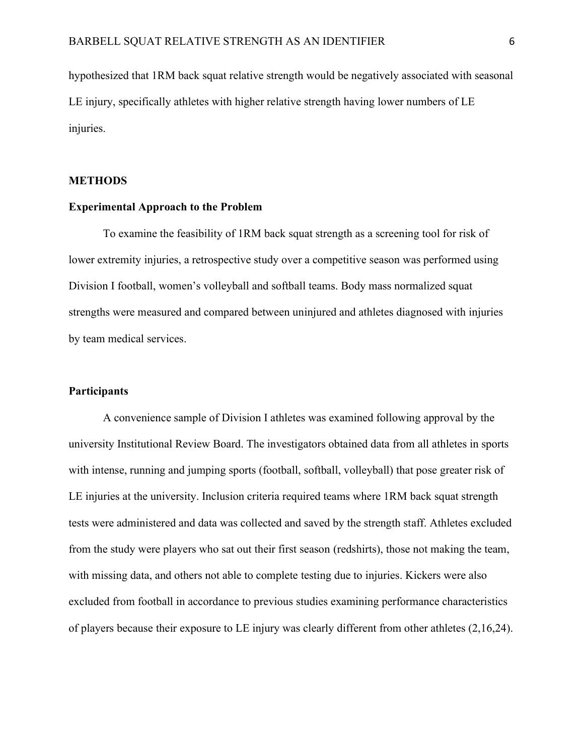hypothesized that 1RM back squat relative strength would be negatively associated with seasonal LE injury, specifically athletes with higher relative strength having lower numbers of LE injuries.

## **METHODS**

## Experimental Approach to the Problem

To examine the feasibility of 1RM back squat strength as a screening tool for risk of lower extremity injuries, a retrospective study over a competitive season was performed using Division I football, women's volleyball and softball teams. Body mass normalized squat strengths were measured and compared between uninjured and athletes diagnosed with injuries by team medical services.

## **Participants**

A convenience sample of Division I athletes was examined following approval by the university Institutional Review Board. The investigators obtained data from all athletes in sports with intense, running and jumping sports (football, softball, volleyball) that pose greater risk of LE injuries at the university. Inclusion criteria required teams where 1RM back squat strength tests were administered and data was collected and saved by the strength staff. Athletes excluded from the study were players who sat out their first season (redshirts), those not making the team, with missing data, and others not able to complete testing due to injuries. Kickers were also excluded from football in accordance to previous studies examining performance characteristics of players because their exposure to LE injury was clearly different from other athletes (2,16,24).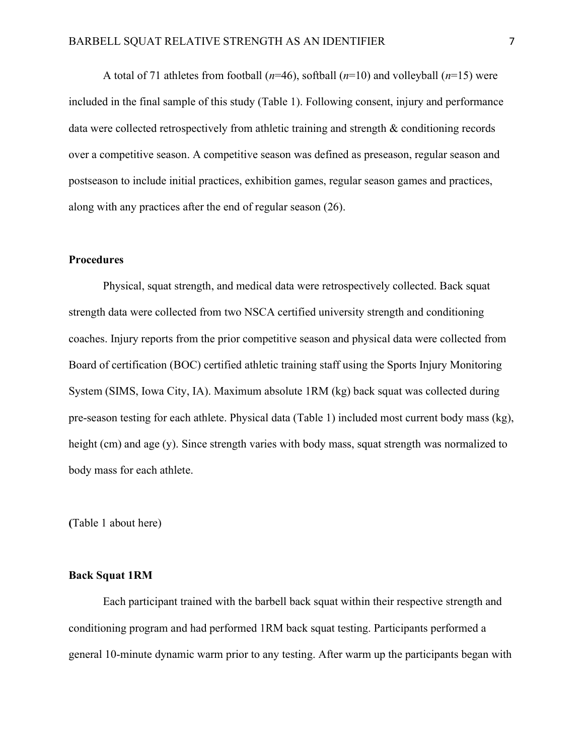A total of 71 athletes from football ( $n=46$ ), softball ( $n=10$ ) and volleyball ( $n=15$ ) were included in the final sample of this study (Table 1). Following consent, injury and performance data were collected retrospectively from athletic training and strength & conditioning records over a competitive season. A competitive season was defined as preseason, regular season and postseason to include initial practices, exhibition games, regular season games and practices, along with any practices after the end of regular season (26).

## **Procedures**

 Physical, squat strength, and medical data were retrospectively collected. Back squat strength data were collected from two NSCA certified university strength and conditioning coaches. Injury reports from the prior competitive season and physical data were collected from Board of certification (BOC) certified athletic training staff using the Sports Injury Monitoring System (SIMS, Iowa City, IA). Maximum absolute 1RM (kg) back squat was collected during pre-season testing for each athlete. Physical data (Table 1) included most current body mass (kg), height (cm) and age (y). Since strength varies with body mass, squat strength was normalized to body mass for each athlete.

(Table 1 about here)

## Back Squat 1RM

Each participant trained with the barbell back squat within their respective strength and conditioning program and had performed 1RM back squat testing. Participants performed a general 10-minute dynamic warm prior to any testing. After warm up the participants began with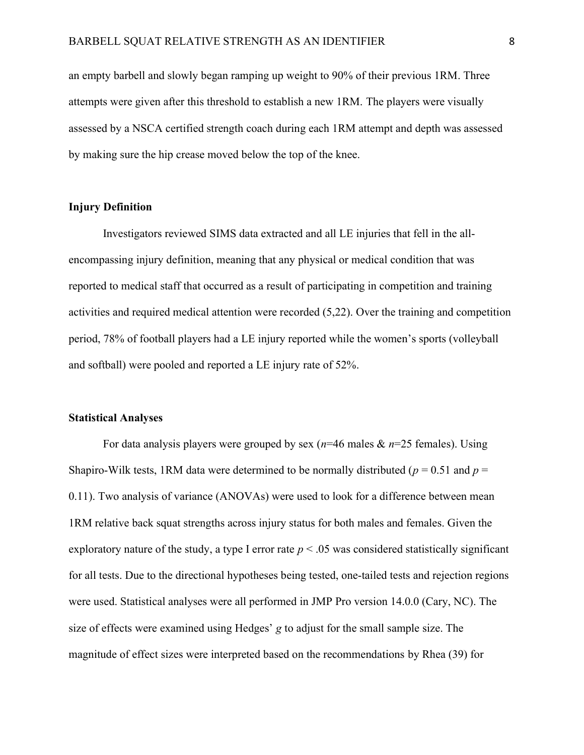an empty barbell and slowly began ramping up weight to 90% of their previous 1RM. Three attempts were given after this threshold to establish a new 1RM. The players were visually assessed by a NSCA certified strength coach during each 1RM attempt and depth was assessed by making sure the hip crease moved below the top of the knee.

## Injury Definition

Investigators reviewed SIMS data extracted and all LE injuries that fell in the allencompassing injury definition, meaning that any physical or medical condition that was reported to medical staff that occurred as a result of participating in competition and training activities and required medical attention were recorded (5,22). Over the training and competition period, 78% of football players had a LE injury reported while the women's sports (volleyball and softball) were pooled and reported a LE injury rate of 52%.

#### Statistical Analyses

For data analysis players were grouped by sex ( $n=46$  males  $\& n=25$  females). Using Shapiro-Wilk tests, 1RM data were determined to be normally distributed ( $p = 0.51$  and  $p =$ 0.11). Two analysis of variance (ANOVAs) were used to look for a difference between mean 1RM relative back squat strengths across injury status for both males and females. Given the exploratory nature of the study, a type I error rate  $p < .05$  was considered statistically significant for all tests. Due to the directional hypotheses being tested, one-tailed tests and rejection regions were used. Statistical analyses were all performed in JMP Pro version 14.0.0 (Cary, NC). The size of effects were examined using Hedges' g to adjust for the small sample size. The magnitude of effect sizes were interpreted based on the recommendations by Rhea (39) for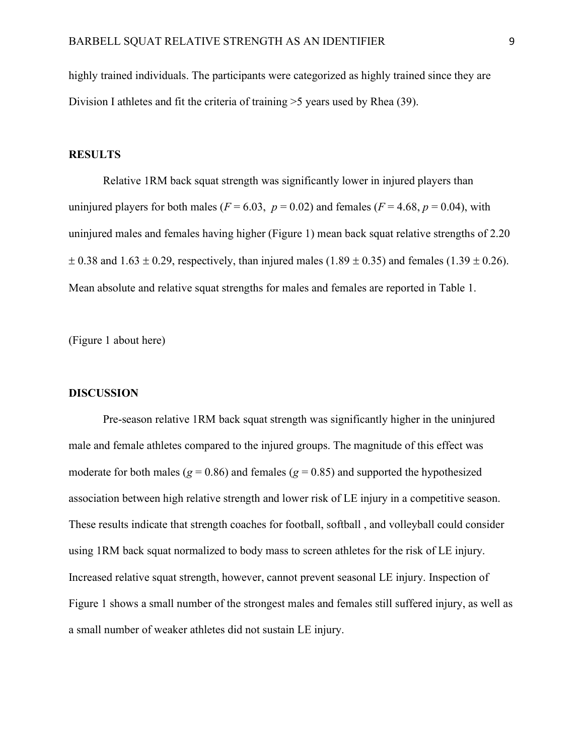highly trained individuals. The participants were categorized as highly trained since they are Division I athletes and fit the criteria of training >5 years used by Rhea (39).

## **RESULTS**

Relative 1RM back squat strength was significantly lower in injured players than uninjured players for both males ( $F = 6.03$ ,  $p = 0.02$ ) and females ( $F = 4.68$ ,  $p = 0.04$ ), with uninjured males and females having higher (Figure 1) mean back squat relative strengths of 2.20  $\pm$  0.38 and 1.63  $\pm$  0.29, respectively, than injured males (1.89  $\pm$  0.35) and females (1.39  $\pm$  0.26). Mean absolute and relative squat strengths for males and females are reported in Table 1.

(Figure 1 about here)

## DISCUSSION

Pre-season relative 1RM back squat strength was significantly higher in the uninjured male and female athletes compared to the injured groups. The magnitude of this effect was moderate for both males ( $g = 0.86$ ) and females ( $g = 0.85$ ) and supported the hypothesized association between high relative strength and lower risk of LE injury in a competitive season. These results indicate that strength coaches for football, softball , and volleyball could consider using 1RM back squat normalized to body mass to screen athletes for the risk of LE injury. Increased relative squat strength, however, cannot prevent seasonal LE injury. Inspection of Figure 1 shows a small number of the strongest males and females still suffered injury, as well as a small number of weaker athletes did not sustain LE injury.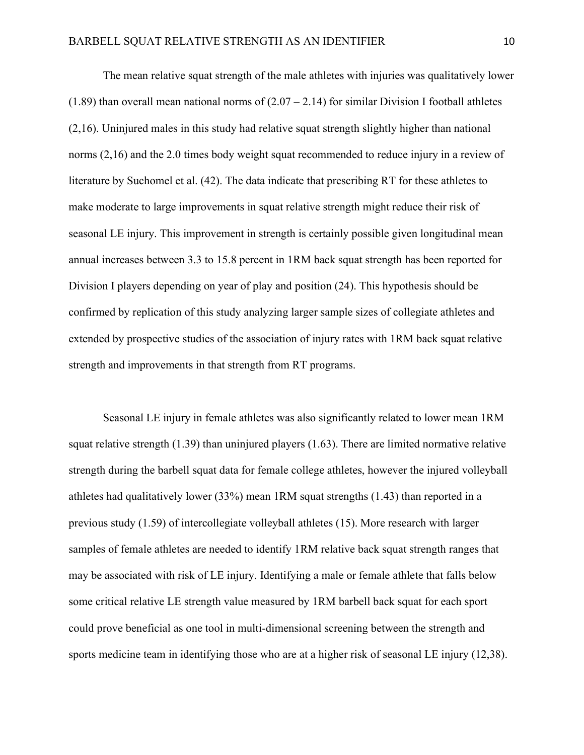The mean relative squat strength of the male athletes with injuries was qualitatively lower (1.89) than overall mean national norms of  $(2.07 – 2.14)$  for similar Division I football athletes (2,16). Uninjured males in this study had relative squat strength slightly higher than national norms (2,16) and the 2.0 times body weight squat recommended to reduce injury in a review of literature by Suchomel et al. (42). The data indicate that prescribing RT for these athletes to make moderate to large improvements in squat relative strength might reduce their risk of seasonal LE injury. This improvement in strength is certainly possible given longitudinal mean annual increases between 3.3 to 15.8 percent in 1RM back squat strength has been reported for Division I players depending on year of play and position (24). This hypothesis should be confirmed by replication of this study analyzing larger sample sizes of collegiate athletes and extended by prospective studies of the association of injury rates with 1RM back squat relative strength and improvements in that strength from RT programs.

Seasonal LE injury in female athletes was also significantly related to lower mean 1RM squat relative strength  $(1.39)$  than uninjured players  $(1.63)$ . There are limited normative relative strength during the barbell squat data for female college athletes, however the injured volleyball athletes had qualitatively lower (33%) mean 1RM squat strengths (1.43) than reported in a previous study (1.59) of intercollegiate volleyball athletes (15). More research with larger samples of female athletes are needed to identify 1RM relative back squat strength ranges that may be associated with risk of LE injury. Identifying a male or female athlete that falls below some critical relative LE strength value measured by 1RM barbell back squat for each sport could prove beneficial as one tool in multi-dimensional screening between the strength and sports medicine team in identifying those who are at a higher risk of seasonal LE injury (12,38).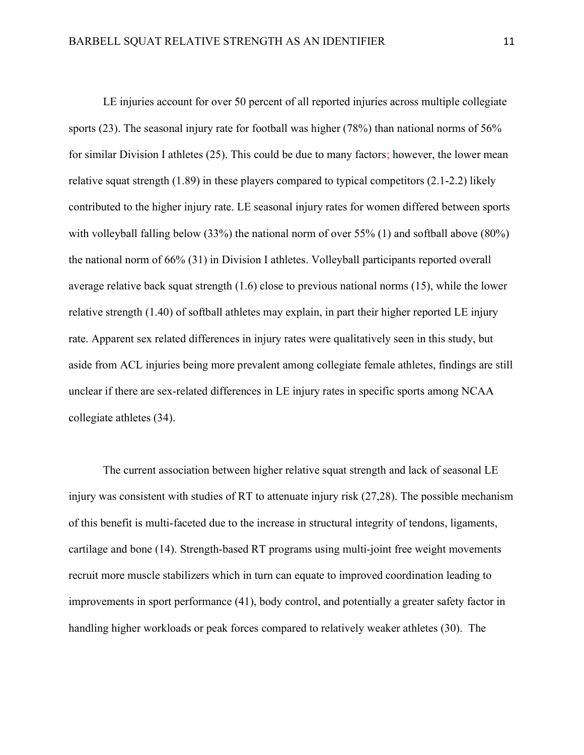LE injuries account for over 50 percent of all reported injuries across multiple collegiate sports (23). The seasonal injury rate for football was higher (78%) than national norms of 56% for similar Division I athletes (25). This could be due to many factors; however, the lower mean relative squat strength  $(1.89)$  in these players compared to typical competitors  $(2.1-2.2)$  likely contributed to the higher injury rate. LE seasonal injury rates for women differed between sports with volleyball falling below (33%) the national norm of over 55% (1) and softball above (80%) the national norm of 66% (31) in Division I athletes. Volleyball participants reported overall average relative back squat strength (1.6) close to previous national norms (15), while the lower relative strength (1.40) of softball athletes may explain, in part their higher reported LE injury rate. Apparent sex related differences in injury rates were qualitatively seen in this study, but aside from ACL injuries being more prevalent among collegiate female athletes, findings are still unclear if there are sex-related differences in LE injury rates in specific sports among NCAA collegiate athletes (34).

The current association between higher relative squat strength and lack of seasonal LE injury was consistent with studies of RT to attenuate injury risk (27,28). The possible mechanism of this benefit is multi-faceted due to the increase in structural integrity of tendons, ligaments, cartilage and bone (14). Strength-based RT programs using multi-joint free weight movements recruit more muscle stabilizers which in turn can equate to improved coordination leading to improvements in sport performance (41), body control, and potentially a greater safety factor in handling higher workloads or peak forces compared to relatively weaker athletes (30). The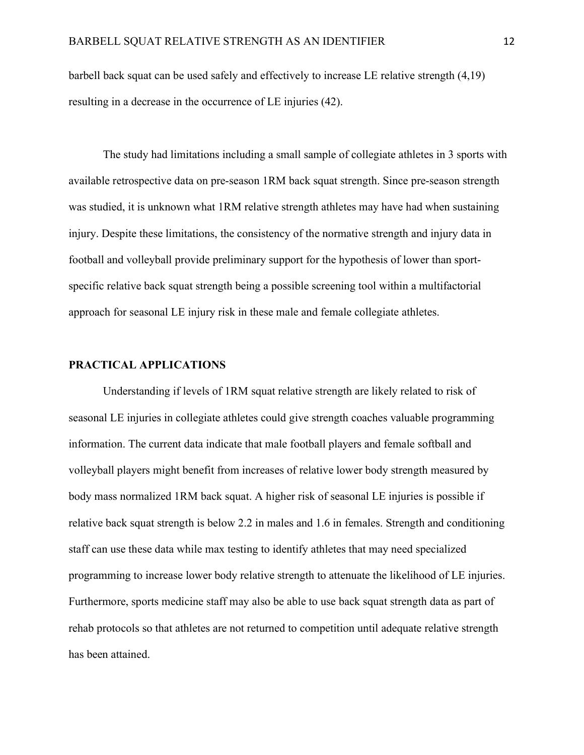barbell back squat can be used safely and effectively to increase LE relative strength (4,19) resulting in a decrease in the occurrence of LE injuries (42).

The study had limitations including a small sample of collegiate athletes in 3 sports with available retrospective data on pre-season 1RM back squat strength. Since pre-season strength was studied, it is unknown what 1RM relative strength athletes may have had when sustaining injury. Despite these limitations, the consistency of the normative strength and injury data in football and volleyball provide preliminary support for the hypothesis of lower than sportspecific relative back squat strength being a possible screening tool within a multifactorial approach for seasonal LE injury risk in these male and female collegiate athletes.

## PRACTICAL APPLICATIONS

Understanding if levels of 1RM squat relative strength are likely related to risk of seasonal LE injuries in collegiate athletes could give strength coaches valuable programming information. The current data indicate that male football players and female softball and volleyball players might benefit from increases of relative lower body strength measured by body mass normalized 1RM back squat. A higher risk of seasonal LE injuries is possible if relative back squat strength is below 2.2 in males and 1.6 in females. Strength and conditioning staff can use these data while max testing to identify athletes that may need specialized programming to increase lower body relative strength to attenuate the likelihood of LE injuries. Furthermore, sports medicine staff may also be able to use back squat strength data as part of rehab protocols so that athletes are not returned to competition until adequate relative strength has been attained.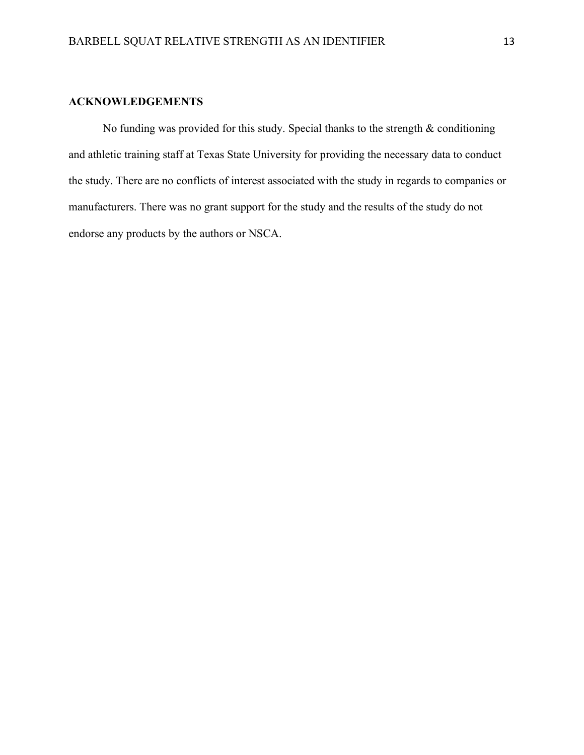# ACKNOWLEDGEMENTS

No funding was provided for this study. Special thanks to the strength  $\&$  conditioning and athletic training staff at Texas State University for providing the necessary data to conduct the study. There are no conflicts of interest associated with the study in regards to companies or manufacturers. There was no grant support for the study and the results of the study do not endorse any products by the authors or NSCA.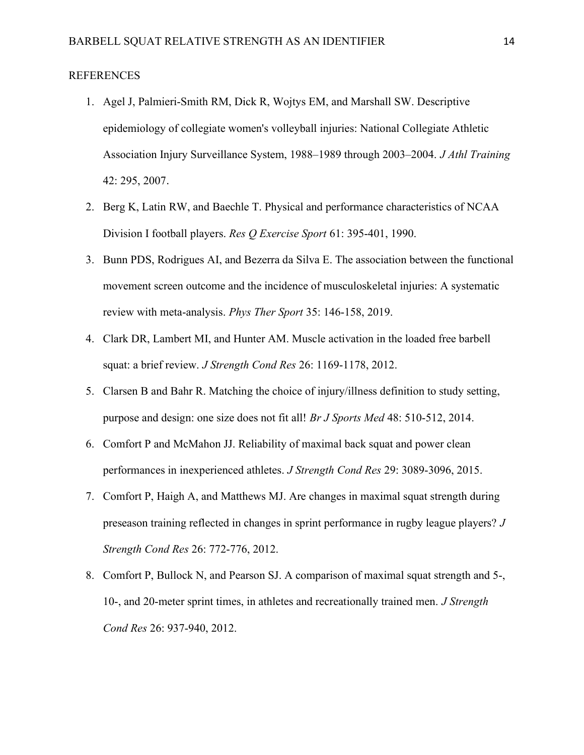# REFERENCES

- 1. Agel J, Palmieri-Smith RM, Dick R, Wojtys EM, and Marshall SW. Descriptive epidemiology of collegiate women's volleyball injuries: National Collegiate Athletic Association Injury Surveillance System, 1988–1989 through 2003–2004. J Athl Training 42: 295, 2007.
- 2. Berg K, Latin RW, and Baechle T. Physical and performance characteristics of NCAA Division I football players. Res Q Exercise Sport 61: 395-401, 1990.
- 3. Bunn PDS, Rodrigues AI, and Bezerra da Silva E. The association between the functional movement screen outcome and the incidence of musculoskeletal injuries: A systematic review with meta-analysis. Phys Ther Sport 35: 146-158, 2019.
- 4. Clark DR, Lambert MI, and Hunter AM. Muscle activation in the loaded free barbell squat: a brief review. *J Strength Cond Res* 26: 1169-1178, 2012.
- 5. Clarsen B and Bahr R. Matching the choice of injury/illness definition to study setting, purpose and design: one size does not fit all! Br J Sports Med 48: 510-512, 2014.
- 6. Comfort P and McMahon JJ. Reliability of maximal back squat and power clean performances in inexperienced athletes. J Strength Cond Res 29: 3089-3096, 2015.
- 7. Comfort P, Haigh A, and Matthews MJ. Are changes in maximal squat strength during preseason training reflected in changes in sprint performance in rugby league players? J Strength Cond Res 26: 772-776, 2012.
- 8. Comfort P, Bullock N, and Pearson SJ. A comparison of maximal squat strength and 5-, 10-, and 20-meter sprint times, in athletes and recreationally trained men. J Strength Cond Res 26: 937-940, 2012.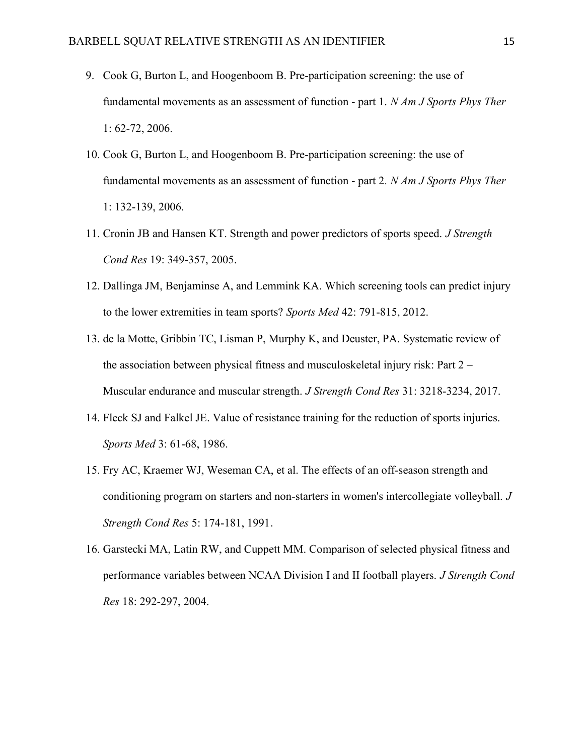- 9. Cook G, Burton L, and Hoogenboom B. Pre-participation screening: the use of fundamental movements as an assessment of function - part 1. N Am J Sports Phys Ther 1: 62-72, 2006.
- 10. Cook G, Burton L, and Hoogenboom B. Pre-participation screening: the use of fundamental movements as an assessment of function - part 2. N Am J Sports Phys Ther 1: 132-139, 2006.
- 11. Cronin JB and Hansen KT. Strength and power predictors of sports speed. J Strength Cond Res 19: 349-357, 2005.
- 12. Dallinga JM, Benjaminse A, and Lemmink KA. Which screening tools can predict injury to the lower extremities in team sports? Sports Med 42: 791-815, 2012.
- 13. de la Motte, Gribbin TC, Lisman P, Murphy K, and Deuster, PA. Systematic review of the association between physical fitness and musculoskeletal injury risk: Part 2 – Muscular endurance and muscular strength. *J Strength Cond Res* 31: 3218-3234, 2017.
- 14. Fleck SJ and Falkel JE. Value of resistance training for the reduction of sports injuries. Sports Med 3: 61-68, 1986.
- 15. Fry AC, Kraemer WJ, Weseman CA, et al. The effects of an off-season strength and conditioning program on starters and non-starters in women's intercollegiate volleyball. J Strength Cond Res 5: 174-181, 1991.
- 16. Garstecki MA, Latin RW, and Cuppett MM. Comparison of selected physical fitness and performance variables between NCAA Division I and II football players. J Strength Cond Res 18: 292-297, 2004.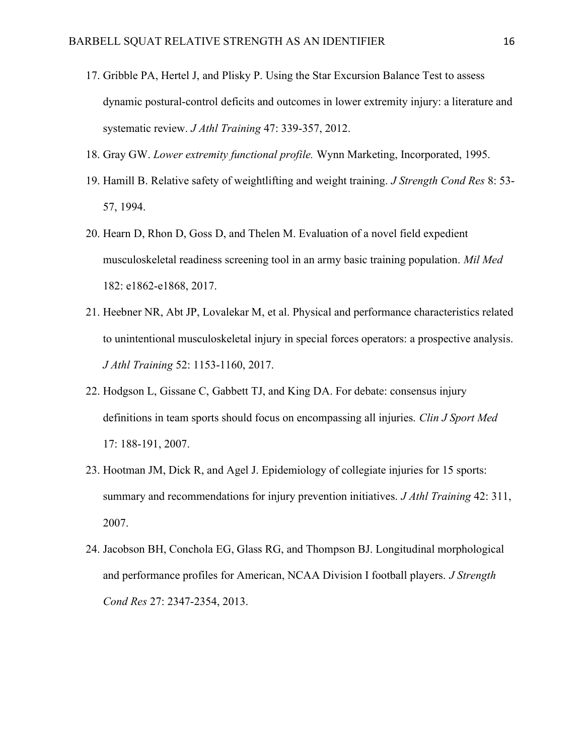- 17. Gribble PA, Hertel J, and Plisky P. Using the Star Excursion Balance Test to assess dynamic postural-control deficits and outcomes in lower extremity injury: a literature and systematic review. J Athl Training 47: 339-357, 2012.
- 18. Gray GW. Lower extremity functional profile. Wynn Marketing, Incorporated, 1995.
- 19. Hamill B. Relative safety of weightlifting and weight training. J Strength Cond Res 8: 53- 57, 1994.
- 20. Hearn D, Rhon D, Goss D, and Thelen M. Evaluation of a novel field expedient musculoskeletal readiness screening tool in an army basic training population. Mil Med 182: e1862-e1868, 2017.
- 21. Heebner NR, Abt JP, Lovalekar M, et al. Physical and performance characteristics related to unintentional musculoskeletal injury in special forces operators: a prospective analysis. J Athl Training 52: 1153-1160, 2017.
- 22. Hodgson L, Gissane C, Gabbett TJ, and King DA. For debate: consensus injury definitions in team sports should focus on encompassing all injuries. Clin J Sport Med 17: 188-191, 2007.
- 23. Hootman JM, Dick R, and Agel J. Epidemiology of collegiate injuries for 15 sports: summary and recommendations for injury prevention initiatives. *J Athl Training* 42: 311, 2007.
- 24. Jacobson BH, Conchola EG, Glass RG, and Thompson BJ. Longitudinal morphological and performance profiles for American, NCAA Division I football players. *J Strength* Cond Res 27: 2347-2354, 2013.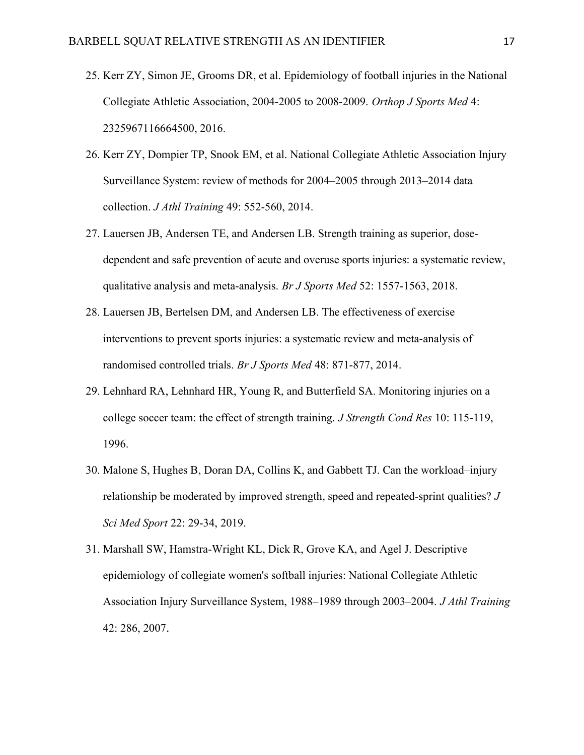- 25. Kerr ZY, Simon JE, Grooms DR, et al. Epidemiology of football injuries in the National Collegiate Athletic Association, 2004-2005 to 2008-2009. Orthop J Sports Med 4: 2325967116664500, 2016.
- 26. Kerr ZY, Dompier TP, Snook EM, et al. National Collegiate Athletic Association Injury Surveillance System: review of methods for 2004–2005 through 2013–2014 data collection. J Athl Training 49: 552-560, 2014.
- 27. Lauersen JB, Andersen TE, and Andersen LB. Strength training as superior, dosedependent and safe prevention of acute and overuse sports injuries: a systematic review, qualitative analysis and meta-analysis. Br J Sports Med 52: 1557-1563, 2018.
- 28. Lauersen JB, Bertelsen DM, and Andersen LB. The effectiveness of exercise interventions to prevent sports injuries: a systematic review and meta-analysis of randomised controlled trials. Br J Sports Med 48: 871-877, 2014.
- 29. Lehnhard RA, Lehnhard HR, Young R, and Butterfield SA. Monitoring injuries on a college soccer team: the effect of strength training. *J Strength Cond Res* 10: 115-119, 1996.
- 30. Malone S, Hughes B, Doran DA, Collins K, and Gabbett TJ. Can the workload–injury relationship be moderated by improved strength, speed and repeated-sprint qualities? J Sci Med Sport 22: 29-34, 2019.
- 31. Marshall SW, Hamstra-Wright KL, Dick R, Grove KA, and Agel J. Descriptive epidemiology of collegiate women's softball injuries: National Collegiate Athletic Association Injury Surveillance System, 1988–1989 through 2003–2004. J Athl Training 42: 286, 2007.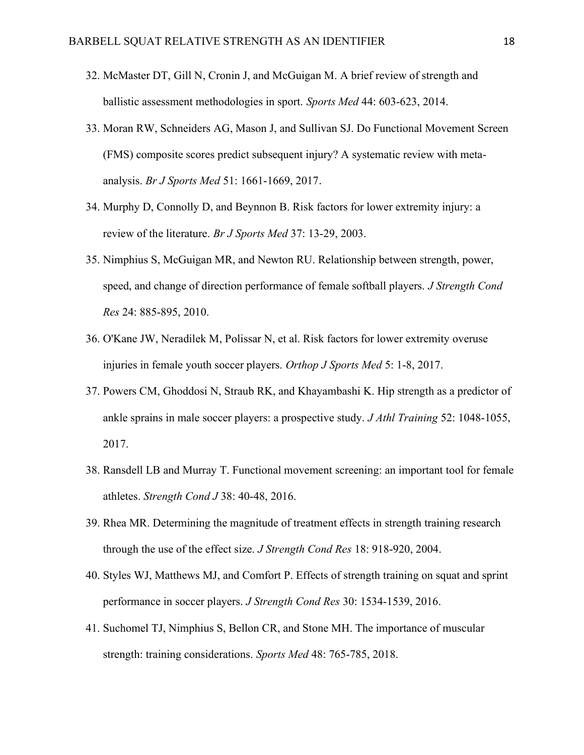- 32. McMaster DT, Gill N, Cronin J, and McGuigan M. A brief review of strength and ballistic assessment methodologies in sport. Sports Med 44: 603-623, 2014.
- 33. Moran RW, Schneiders AG, Mason J, and Sullivan SJ. Do Functional Movement Screen (FMS) composite scores predict subsequent injury? A systematic review with metaanalysis. Br J Sports Med 51: 1661-1669, 2017.
- 34. Murphy D, Connolly D, and Beynnon B. Risk factors for lower extremity injury: a review of the literature. Br J Sports Med 37: 13-29, 2003.
- 35. Nimphius S, McGuigan MR, and Newton RU. Relationship between strength, power, speed, and change of direction performance of female softball players. *J Strength Cond* Res 24: 885-895, 2010.
- 36. O'Kane JW, Neradilek M, Polissar N, et al. Risk factors for lower extremity overuse injuries in female youth soccer players. Orthop J Sports Med 5: 1-8, 2017.
- 37. Powers CM, Ghoddosi N, Straub RK, and Khayambashi K. Hip strength as a predictor of ankle sprains in male soccer players: a prospective study. J Athl Training 52: 1048-1055, 2017.
- 38. Ransdell LB and Murray T. Functional movement screening: an important tool for female athletes. Strength Cond J 38: 40-48, 2016.
- 39. Rhea MR. Determining the magnitude of treatment effects in strength training research through the use of the effect size. J Strength Cond Res 18: 918-920, 2004.
- 40. Styles WJ, Matthews MJ, and Comfort P. Effects of strength training on squat and sprint performance in soccer players. J Strength Cond Res 30: 1534-1539, 2016.
- 41. Suchomel TJ, Nimphius S, Bellon CR, and Stone MH. The importance of muscular strength: training considerations. Sports Med 48: 765-785, 2018.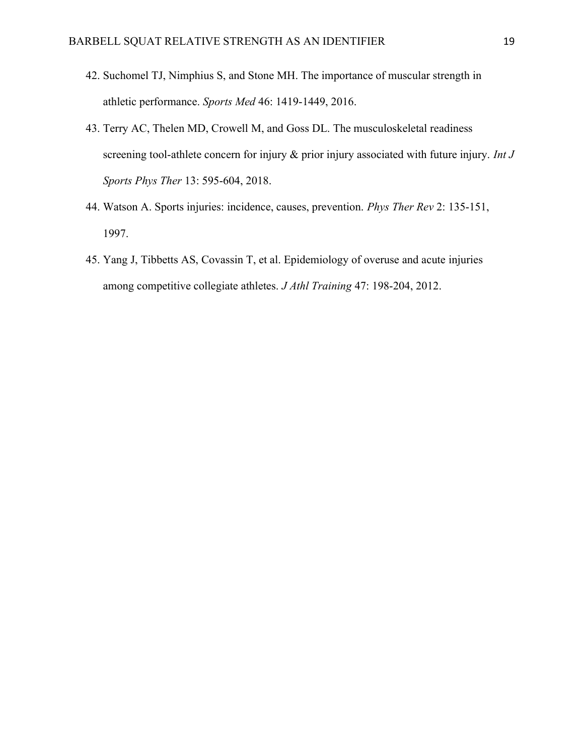- 42. Suchomel TJ, Nimphius S, and Stone MH. The importance of muscular strength in athletic performance. Sports Med 46: 1419-1449, 2016.
- 43. Terry AC, Thelen MD, Crowell M, and Goss DL. The musculoskeletal readiness screening tool-athlete concern for injury & prior injury associated with future injury. Int J Sports Phys Ther 13: 595-604, 2018.
- 44. Watson A. Sports injuries: incidence, causes, prevention. Phys Ther Rev 2: 135-151, 1997.
- 45. Yang J, Tibbetts AS, Covassin T, et al. Epidemiology of overuse and acute injuries among competitive collegiate athletes. J Athl Training 47: 198-204, 2012.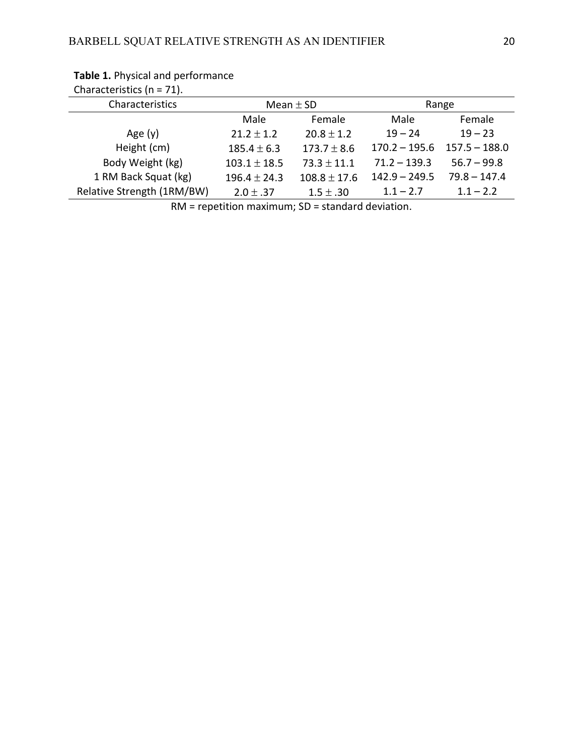| Characteristics ( $n = 71$ ). |                  |                  |                 |                 |
|-------------------------------|------------------|------------------|-----------------|-----------------|
| Characteristics               | Mean $\pm$ SD    |                  | Range           |                 |
|                               | Male             | Female           | Male            | Female          |
| Age $(y)$                     | $21.2 \pm 1.2$   | $20.8 \pm 1.2$   | $19 - 24$       | $19 - 23$       |
| Height (cm)                   | $185.4 \pm 6.3$  | $173.7 \pm 8.6$  | $170.2 - 195.6$ | $157.5 - 188.0$ |
| Body Weight (kg)              | $103.1 \pm 18.5$ | $73.3 \pm 11.1$  | $71.2 - 139.3$  | $56.7 - 99.8$   |
| 1 RM Back Squat (kg)          | $196.4 \pm 24.3$ | $108.8 \pm 17.6$ | $142.9 - 249.5$ | $79.8 - 147.4$  |
| Relative Strength (1RM/BW)    | $2.0 \pm .37$    | $1.5 \pm .30$    | $1.1 - 2.7$     | $1.1 - 2.2$     |

# Table 1. Physical and performance

RM = repetition maximum; SD = standard deviation.